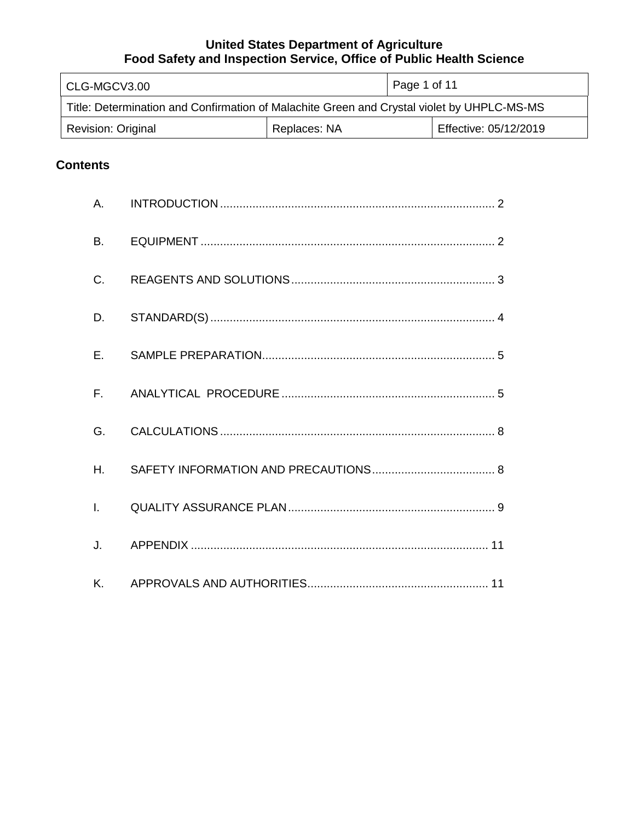| CLG-MGCV3.00                                                                               |              | Page 1 of 11          |  |
|--------------------------------------------------------------------------------------------|--------------|-----------------------|--|
| Title: Determination and Confirmation of Malachite Green and Crystal violet by UHPLC-MS-MS |              |                       |  |
| <b>Revision: Original</b>                                                                  | Replaces: NA | Effective: 05/12/2019 |  |

# **Contents**

| <b>B.</b>    |  |
|--------------|--|
| C.           |  |
| D.           |  |
| $E_{\rm{H}}$ |  |
|              |  |
| G.           |  |
| $H_{\cdot}$  |  |
| $\mathbf{L}$ |  |
| J.           |  |
|              |  |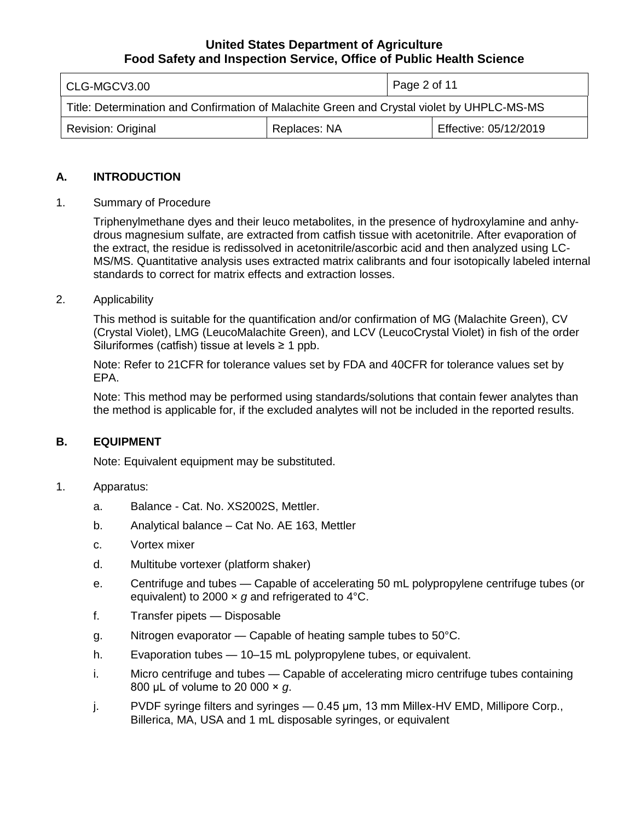| CLG-MGCV3.00                                                                               |  | Page 2 of 11 |                       |
|--------------------------------------------------------------------------------------------|--|--------------|-----------------------|
| Title: Determination and Confirmation of Malachite Green and Crystal violet by UHPLC-MS-MS |  |              |                       |
| Replaces: NA<br><b>Revision: Original</b>                                                  |  |              | Effective: 05/12/2019 |

#### **A. INTRODUCTION**

#### Summary of Procedure 1.

 Triphenylmethane dyes and their leuco metabolites, in the presence of hydroxylamine and anhy- drous magnesium sulfate, are extracted from catfish tissue with acetonitrile. After evaporation of the extract, the residue is redissolved in acetonitrile/ascorbic acid and then analyzed using LC- MS/MS. Quantitative analysis uses extracted matrix calibrants and four isotopically labeled internal standards to correct for matrix effects and extraction losses.

#### 2. **Applicability**

 Siluriformes (catfish) tissue at levels ≥ 1 ppb. This method is suitable for the quantification and/or confirmation of MG (Malachite Green), CV (Crystal Violet), LMG (LeucoMalachite Green), and LCV (LeucoCrystal Violet) in fish of the order

 Note: Refer to 21CFR for tolerance values set by FDA and 40CFR for tolerance values set by EPA.

 Note: This method may be performed using standards/solutions that contain fewer analytes than the method is applicable for, if the excluded analytes will not be included in the reported results.

#### **B. EQUIPMENT**

Note: Equivalent equipment may be substituted.

#### 1. Apparatus:

- a. Balance Cat. No. XS2002S, Mettler.
- b. Analytical balance Cat No. AE 163, Mettler
- c. Vortex mixer
- d. Multitube vortexer (platform shaker)
- e. Centrifuge and tubes Capable of accelerating 50 mL polypropylene centrifuge tubes (or equivalent) to 2000 × *g* and refrigerated to 4°C.
- f. Transfer pipets Disposable
- g. Nitrogen evaporator Capable of heating sample tubes to 50°C.
- h. Evaporation tubes 10–15 mL polypropylene tubes, or equivalent.
- 800 μL of volume to 20 000 × *g*. i. Micro centrifuge and tubes *—* Capable of accelerating micro centrifuge tubes containing
- j. PVDF syringe filters and syringes 0.45 μm, 13 mm Millex-HV EMD, Millipore Corp., Billerica, MA, USA and 1 mL disposable syringes, or equivalent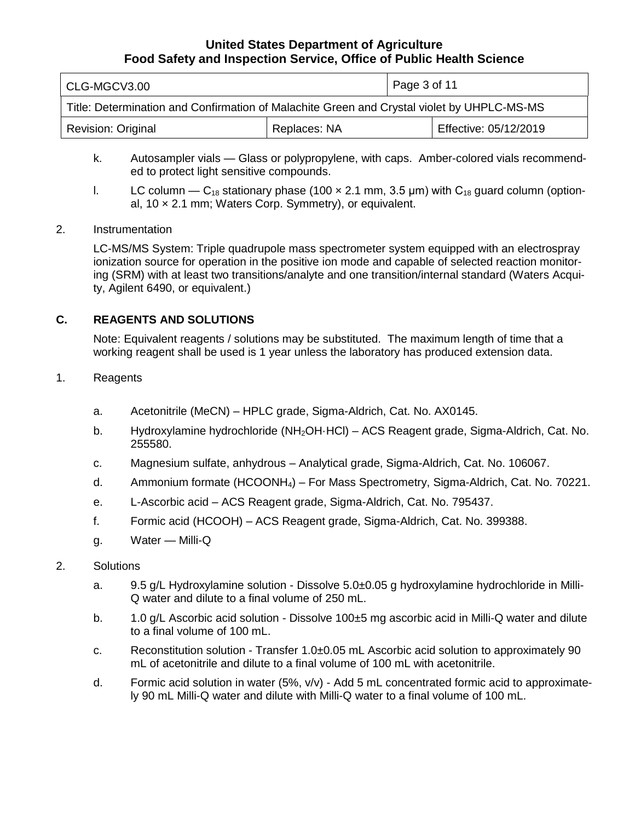| CLG-MGCV3.00                                                                               |  | Page 3 of 11 |                       |
|--------------------------------------------------------------------------------------------|--|--------------|-----------------------|
| Title: Determination and Confirmation of Malachite Green and Crystal violet by UHPLC-MS-MS |  |              |                       |
| <b>Revision: Original</b><br>Replaces: NA                                                  |  |              | Effective: 05/12/2019 |

- ed to protect light sensitive compounds. k. Autosampler vials — Glass or polypropylene, with caps. Amber-colored vials recommend-
- l. LC column C<sub>18</sub> stationary phase (100  $\times$  2.1 mm, 3.5 µm) with C<sub>18</sub> guard column (option-al, 10 × 2.1 mm; Waters Corp. Symmetry), or equivalent.

### 2. Instrumentation

 LC-MS/MS System: Triple quadrupole mass spectrometer system equipped with an electrospray ionization source for operation in the positive ion mode and capable of selected reaction monitor- ing (SRM) with at least two transitions/analyte and one transition/internal standard (Waters Acqui-ty, Agilent 6490, or equivalent.)

## **C. REAGENTS AND SOLUTIONS**

 Note: Equivalent reagents / solutions may be substituted. The maximum length of time that a working reagent shall be used is 1 year unless the laboratory has produced extension data.

#### 1. Reagents

- a. Acetonitrile (MeCN) HPLC grade, Sigma-Aldrich, Cat. No. AX0145.
- b. Hydroxylamine hydrochloride (NH<sub>2</sub>OH·HCl) ACS Reagent grade, Sigma-Aldrich, Cat. No. 255580.
- c. Magnesium sulfate, anhydrous Analytical grade, Sigma-Aldrich, Cat. No. 106067.
- d. Ammonium formate (HCOONH4) For Mass Spectrometry, Sigma-Aldrich, Cat. No. 70221.
- e. L-Ascorbic acid ACS Reagent grade, Sigma-Aldrich, Cat. No. 795437.
- f. Formic acid (HCOOH) ACS Reagent grade, Sigma-Aldrich, Cat. No. 399388.
- g. Water Milli-Q

#### 2. Solutions

- Q water and dilute to a final volume of 250 mL. a. 9.5 g/L Hydroxylamine solution - Dissolve [5.0±0.05](https://5.0�0.05) g hydroxylamine hydrochloride in Milli-
- b. 1.0 g/L Ascorbic acid solution Dissolve 100±5 mg ascorbic acid in Milli-Q water and dilute to a final volume of 100 mL.
- c. Reconstitution solution Transfer [1.0±0.05](https://1.0�0.05) mL Ascorbic acid solution to approximately 90 mL of acetonitrile and dilute to a final volume of 100 mL with acetonitrile.
- d. Formic acid solution in water (5%, v/v) Add 5 mL concentrated formic acid to approximate-ly 90 mL Milli-Q water and dilute with Milli-Q water to a final volume of 100 mL.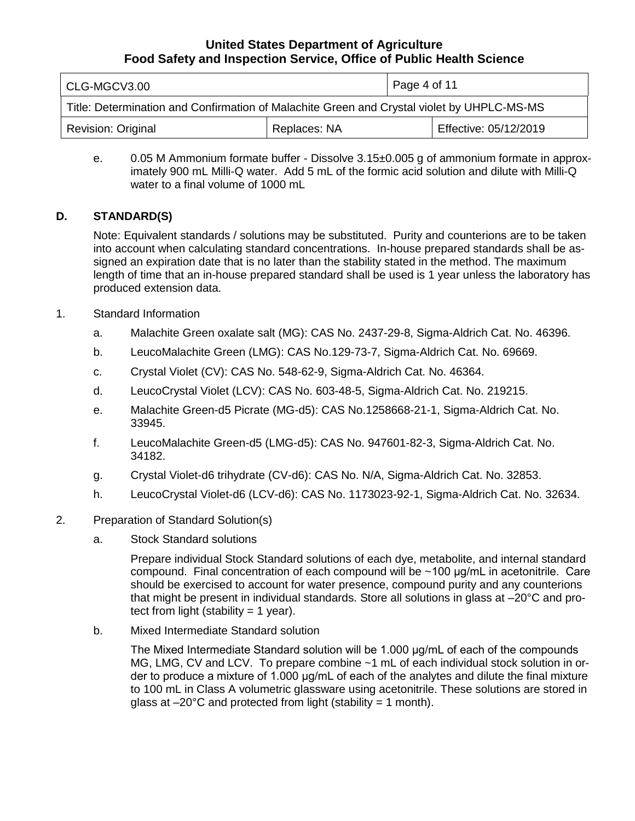| CLG-MGCV3.00                                                                               |  | Page 4 of 11 |                       |
|--------------------------------------------------------------------------------------------|--|--------------|-----------------------|
| Title: Determination and Confirmation of Malachite Green and Crystal violet by UHPLC-MS-MS |  |              |                       |
| Revision: Original<br>Replaces: NA                                                         |  |              | Effective: 05/12/2019 |

e. 0.05 M Ammonium formate buffer - Dissolve 3.15±0.005 g of ammonium formate in approx- imately 900 mL Milli-Q water. Add 5 mL of the formic acid solution and dilute with Milli-Q water to a final volume of 1000 mL

## **D. STANDARD(S)**

 Note: Equivalent standards / solutions may be substituted. Purity and counterions are to be taken into account when calculating standard concentrations. In-house prepared standards shall be as- signed an expiration date that is no later than the stability stated in the method. The maximum length of time that an in-house prepared standard shall be used is 1 year unless the laboratory has produced extension data.

### 1. Standard Information

- a. Malachite Green oxalate salt (MG): CAS No. 2437-29-8, Sigma-Aldrich Cat. No. 46396.
- b. LeucoMalachite Green (LMG): CAS No.129-73-7, Sigma-Aldrich Cat. No. 69669.
- c. Crystal Violet (CV): CAS No. 548-62-9, Sigma-Aldrich Cat. No. 46364.
- d. LeucoCrystal Violet (LCV): CAS No. 603-48-5, Sigma-Aldrich Cat. No. 219215.
- e. Malachite Green-d5 Picrate (MG-d5): CAS No.1258668-21-1, Sigma-Aldrich Cat. No. 33945.
- f. LeucoMalachite Green-d5 (LMG-d5): CAS No. 947601-82-3, Sigma-Aldrich Cat. No. 34182.
- g. Crystal Violet-d6 trihydrate (CV-d6): CAS No. N/A, Sigma-Aldrich Cat. No. 32853.
- h. LeucoCrystal Violet-d6 (LCV-d6): CAS No. 1173023-92-1, Sigma-Aldrich Cat. No. 32634.

### 2. Preparation of Standard Solution(s)

a. Stock Standard solutions

 Prepare individual Stock Standard solutions of each dye, metabolite, and internal standard compound. Final concentration of each compound will be ~100 μg/mL in acetonitrile. Care should be exercised to account for water presence, compound purity and any counterions that might be present in individual standards. Store all solutions in glass at –20°C and pro-tect from light (stability = 1 year).

b. Mixed Intermediate Standard solution

 The Mixed Intermediate Standard solution will be 1.000 μg/mL of each of the compounds MG, LMG, CV and LCV. To prepare combine ~1 mL of each individual stock solution in or- der to produce a mixture of 1.000 μg/mL of each of the analytes and dilute the final mixture to 100 mL in Class A volumetric glassware using acetonitrile. These solutions are stored in glass at  $-20^{\circ}$ C and protected from light (stability = 1 month).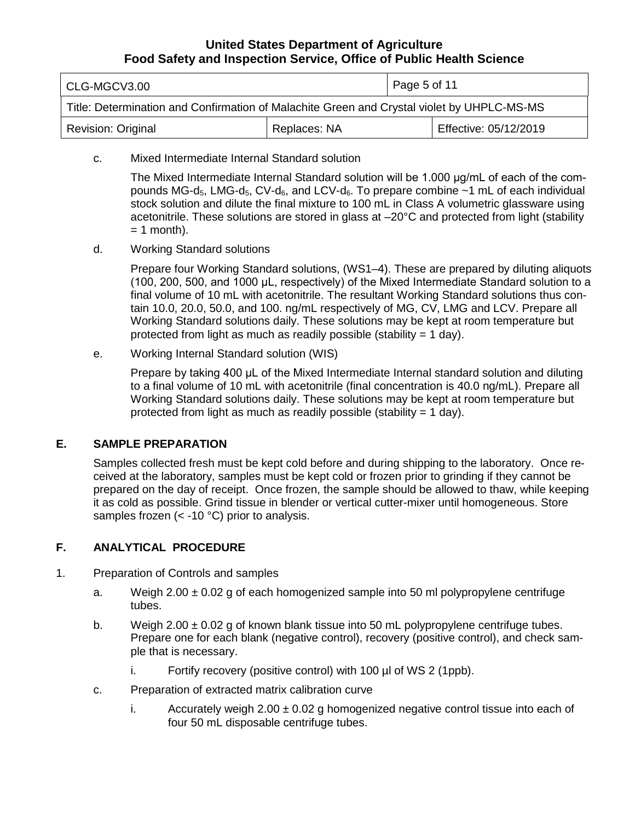| l CLG-MGCV3.00                                                                             |  | Page 5 of 11 |                       |
|--------------------------------------------------------------------------------------------|--|--------------|-----------------------|
| Title: Determination and Confirmation of Malachite Green and Crystal violet by UHPLC-MS-MS |  |              |                       |
| Revision: Original<br>Replaces: NA                                                         |  |              | Effective: 05/12/2019 |

c. Mixed Intermediate Internal Standard solution

 The Mixed Intermediate Internal Standard solution will be 1.000 μg/mL of each of the compounds MG-d<sub>5</sub>, LMG-d<sub>5</sub>, CV-d<sub>6</sub>, and LCV-d<sub>6</sub>. To prepare combine  $\sim$ 1 mL of each individual stock solution and dilute the final mixture to 100 mL in Class A volumetric glassware using acetonitrile. These solutions are stored in glass at –20°C and protected from light (stability  $= 1$  month).

d. Working Standard solutions

 Prepare four Working Standard solutions, (WS1–4). These are prepared by diluting aliquots (100, 200, 500, and 1000 μL, respectively) of the Mixed Intermediate Standard solution to a final volume of 10 mL with acetonitrile. The resultant Working Standard solutions thus con- tain 10.0, 20.0, 50.0, and 100. ng/mL respectively of MG, CV, LMG and LCV. Prepare all Working Standard solutions daily. These solutions may be kept at room temperature but protected from light as much as readily possible (stability = 1 day).

e. Working Internal Standard solution (WIS)

 Prepare by taking 400 μL of the Mixed Intermediate Internal standard solution and diluting to a final volume of 10 mL with acetonitrile (final concentration is 40.0 ng/mL). Prepare all Working Standard solutions daily. These solutions may be kept at room temperature but protected from light as much as readily possible (stability = 1 day).

#### **E. SAMPLE PREPARATION**

 Samples collected fresh must be kept cold before and during shipping to the laboratory. Once re- ceived at the laboratory, samples must be kept cold or frozen prior to grinding if they cannot be prepared on the day of receipt. Once frozen, the sample should be allowed to thaw, while keeping it as cold as possible. Grind tissue in blender or vertical cutter-mixer until homogeneous. Store samples frozen (< -10 °C) prior to analysis.

### **F. ANALYTICAL PROCEDURE**

- 1. Preparation of Controls and samples
	- a. Weigh  $2.00 \pm 0.02$  g of each homogenized sample into 50 ml polypropylene centrifuge tubes.
	- b. Weigh  $2.00 \pm 0.02$  g of known blank tissue into 50 mL polypropylene centrifuge tubes. Prepare one for each blank (negative control), recovery (positive control), and check sample that is necessary.
		- i. Fortify recovery (positive control) with 100 µl of WS 2 (1ppb).
	- c. Preparation of extracted matrix calibration curve
		- i. Accurately weigh  $2.00 \pm 0.02$  g homogenized negative control tissue into each of four 50 mL disposable centrifuge tubes.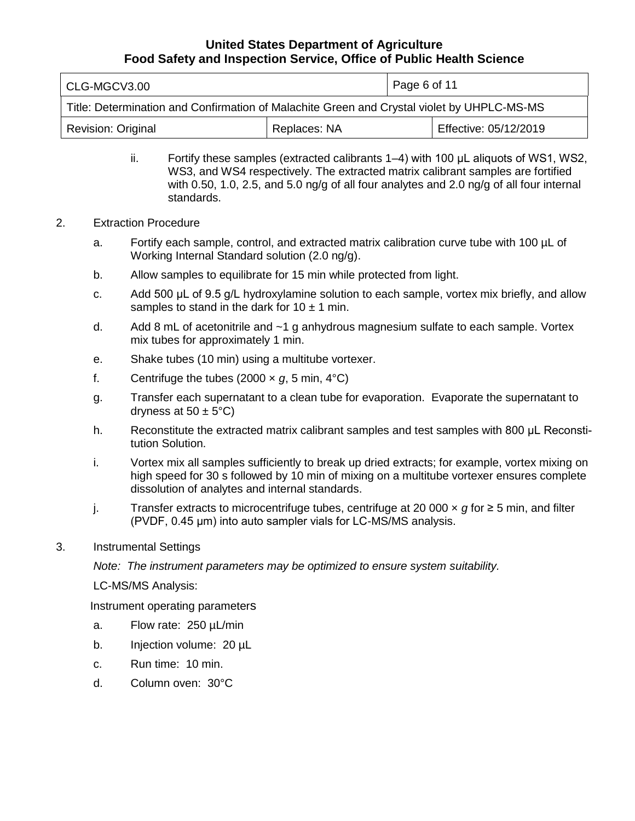| CLG-MGCV3.00                                                                               |  | Page 6 of 11 |                       |
|--------------------------------------------------------------------------------------------|--|--------------|-----------------------|
| Title: Determination and Confirmation of Malachite Green and Crystal violet by UHPLC-MS-MS |  |              |                       |
| Revision: Original<br>Replaces: NA                                                         |  |              | Effective: 05/12/2019 |

 ii. Fortify these samples (extracted calibrants 1–4) with 100 μL aliquots of WS1, WS2, WS3, and WS4 respectively. The extracted matrix calibrant samples are fortified with 0.50, 1.0, 2.5, and 5.0 ng/g of all four analytes and 2.0 ng/g of all four internal standards.

#### 2. Extraction Procedure

- a. Fortify each sample, control, and extracted matrix calibration curve tube with 100 µL of Working Internal Standard solution (2.0 ng/g).
- b. Allow samples to equilibrate for 15 min while protected from light.
- c. Add 500 μL of 9.5 g/L hydroxylamine solution to each sample, vortex mix briefly, and allow samples to stand in the dark for  $10 \pm 1$  min.
- d. Add 8 mL of acetonitrile and ~1 g anhydrous magnesium sulfate to each sample. Vortex mix tubes for approximately 1 min.
- e. Shake tubes (10 min) using a multitube vortexer.
- f. Centrifuge the tubes  $(2000 \times g, 5 \text{ min}, 4^{\circ}\text{C})$
- g. Transfer each supernatant to a clean tube for evaporation. Evaporate the supernatant to dryness at  $50 \pm 5^{\circ}$ C)
- h. Reconstitute the extracted matrix calibrant samples and test samples with 800 μL Reconstitution Solution.
- i. Vortex mix all samples sufficiently to break up dried extracts; for example, vortex mixing on high speed for 30 s followed by 10 min of mixing on a multitube vortexer ensures complete dissolution of analytes and internal standards.
- j. Transfer extracts to microcentrifuge tubes, centrifuge at 20 000 × *g* for ≥ 5 min, and filter (PVDF, 0.45 μm) into auto sampler vials for LC-MS/MS analysis.
- 3. Instrumental Settings

 *Note: The instrument parameters may be optimized to ensure system suitability.* 

LC-MS/MS Analysis:

Instrument operating parameters

- a. Flow rate: 250 µL/min
- b. Injection volume: 20 µL
- c. Run time: 10 min.
- d. Column oven: 30°C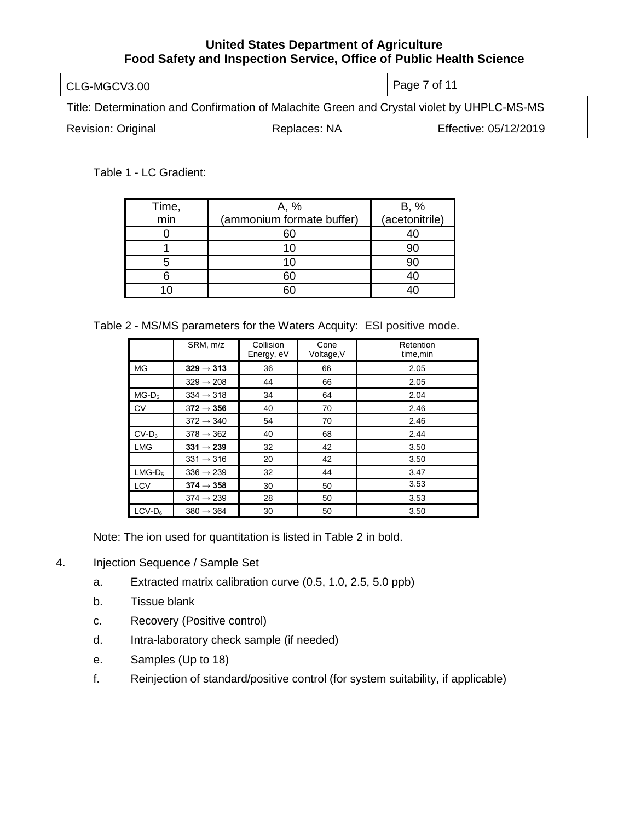| CLG-MGCV3.00                                                                               |  | Page 7 of 11 |                       |
|--------------------------------------------------------------------------------------------|--|--------------|-----------------------|
| Title: Determination and Confirmation of Malachite Green and Crystal violet by UHPLC-MS-MS |  |              |                       |
| <b>Revision: Original</b><br>Replaces: NA                                                  |  |              | Effective: 05/12/2019 |

### Table 1 - LC Gradient:

| Time, | A, %                      |                        |
|-------|---------------------------|------------------------|
| min   | (ammonium formate buffer) | B, %<br>(acetonitrile) |
|       |                           |                        |
|       |                           |                        |
|       |                           |                        |
|       |                           |                        |
|       |                           |                        |

Table 2 - MS/MS parameters for the Waters Acquity: ESI positive mode.

|            | SRM, m/z              | Collision<br>Energy, eV | Cone<br>Voltage, V | Retention<br>time, min |
|------------|-----------------------|-------------------------|--------------------|------------------------|
| <b>MG</b>  | $329 \rightarrow 313$ | 36                      | 66                 | 2.05                   |
|            | $329 \rightarrow 208$ | 44                      | 66                 | 2.05                   |
| $MG-D_5$   | $334 \rightarrow 318$ | 34                      | 64                 | 2.04                   |
| <b>CV</b>  | $372 \rightarrow 356$ | 40                      | 70                 | 2.46                   |
|            | $372 \rightarrow 340$ | 54                      | 70                 | 2.46                   |
| $CV-D6$    | $378 \rightarrow 362$ | 40                      | 68                 | 2.44                   |
| <b>LMG</b> | $331 \rightarrow 239$ | 32                      | 42                 | 3.50                   |
|            | $331 \rightarrow 316$ | 20                      | 42                 | 3.50                   |
| $LMG-D5$   | $336 \rightarrow 239$ | 32                      | 44                 | 3.47                   |
| <b>LCV</b> | $374 \rightarrow 358$ | 30                      | 50                 | 3.53                   |
|            | $374 \rightarrow 239$ | 28                      | 50                 | 3.53                   |
| $LCV-D6$   | $380 \rightarrow 364$ | 30                      | 50                 | 3.50                   |

Note: The ion used for quantitation is listed in Table 2 in bold.

- 4. Injection Sequence / Sample Set
	- a. Extracted matrix calibration curve (0.5, 1.0, 2.5, 5.0 ppb)
	- b. Tissue blank
	- c. Recovery (Positive control)
	- d. Intra-laboratory check sample (if needed)
	- e. Samples (Up to 18)
	- f. Reinjection of standard/positive control (for system suitability, if applicable)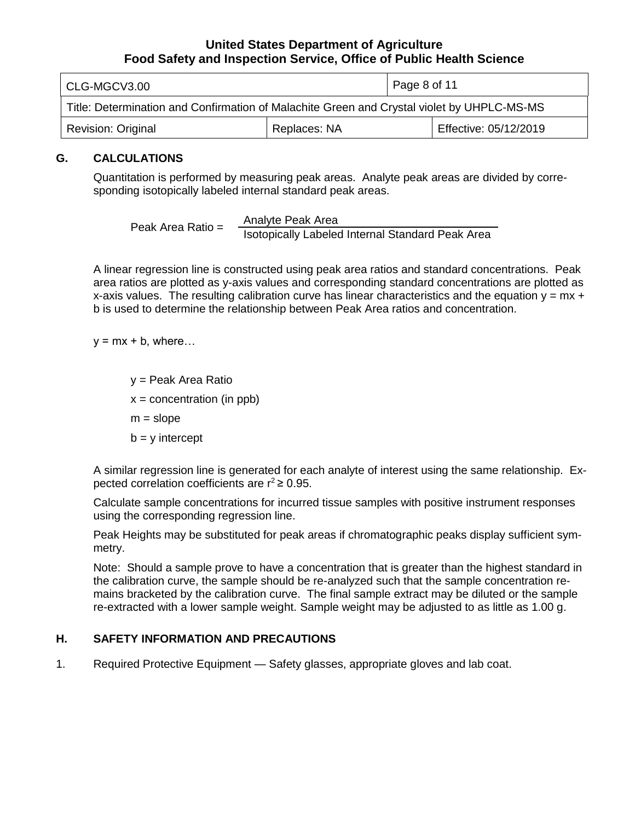| CLG-MGCV3.00                                                                               |  | Page 8 of 11 |                       |
|--------------------------------------------------------------------------------------------|--|--------------|-----------------------|
| Title: Determination and Confirmation of Malachite Green and Crystal violet by UHPLC-MS-MS |  |              |                       |
| Replaces: NA<br><b>Revision: Original</b>                                                  |  |              | Effective: 05/12/2019 |

### **G. CALCULATIONS**

 Quantitation is performed by measuring peak areas. Analyte peak areas are divided by corre-sponding isotopically labeled internal standard peak areas.

Analyte Peak Area Peak Area Ratio = Isotopically Labeled Internal Standard Peak Area

 A linear regression line is constructed using peak area ratios and standard concentrations. Peak area ratios are plotted as y-axis values and corresponding standard concentrations are plotted as x-axis values. The resulting calibration curve has linear characteristics and the equation  $y = mx +$ b is used to determine the relationship between Peak Area ratios and concentration.

 $y = mx + b$ , where...

 y = Peak Area Ratio b = y intercept  $x =$  concentration (in ppb)  $m = slope$ 

 A similar regression line is generated for each analyte of interest using the same relationship. Expected correlation coefficients are  $r^2 \geq 0.95$ .

 Calculate sample concentrations for incurred tissue samples with positive instrument responses using the corresponding regression line.

 Peak Heights may be substituted for peak areas if chromatographic peaks display sufficient symmetry.

 Note: Should a sample prove to have a concentration that is greater than the highest standard in the calibration curve, the sample should be re-analyzed such that the sample concentration re- mains bracketed by the calibration curve. The final sample extract may be diluted or the sample re-extracted with a lower sample weight. Sample weight may be adjusted to as little as 1.00 g.

### **H. SAFETY INFORMATION AND PRECAUTIONS**

1. Required Protective Equipment — Safety glasses, appropriate gloves and lab coat.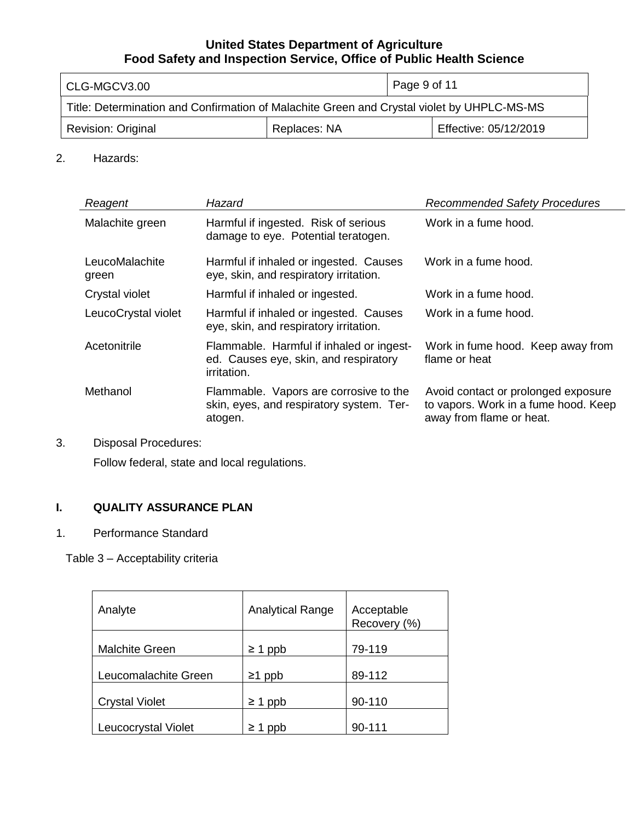| CLG-MGCV3.00                                                                               |  | Page 9 of 11 |                       |
|--------------------------------------------------------------------------------------------|--|--------------|-----------------------|
| Title: Determination and Confirmation of Malachite Green and Crystal violet by UHPLC-MS-MS |  |              |                       |
| Replaces: NA<br><b>Revision: Original</b>                                                  |  |              | Effective: 05/12/2019 |

## 2. Hazards:

| Reagent                 | Hazard                                                                                           | <b>Recommended Safety Procedures</b>                                                                    |
|-------------------------|--------------------------------------------------------------------------------------------------|---------------------------------------------------------------------------------------------------------|
| Malachite green         | Harmful if ingested. Risk of serious<br>damage to eye. Potential teratogen.                      | Work in a fume hood.                                                                                    |
| LeucoMalachite<br>green | Harmful if inhaled or ingested. Causes<br>eye, skin, and respiratory irritation.                 | Work in a fume hood.                                                                                    |
| Crystal violet          | Harmful if inhaled or ingested.                                                                  | Work in a fume hood.                                                                                    |
| LeucoCrystal violet     | Harmful if inhaled or ingested. Causes<br>eye, skin, and respiratory irritation.                 | Work in a fume hood.                                                                                    |
| Acetonitrile            | Flammable. Harmful if inhaled or ingest-<br>ed. Causes eye, skin, and respiratory<br>irritation. | Work in fume hood. Keep away from<br>flame or heat                                                      |
| Methanol                | Flammable. Vapors are corrosive to the<br>skin, eyes, and respiratory system. Ter-<br>atogen.    | Avoid contact or prolonged exposure<br>to vapors. Work in a fume hood. Keep<br>away from flame or heat. |

# 3. Disposal Procedures:

Follow federal, state and local regulations.

# **I. QUALITY ASSURANCE PLAN**

# 1. Performance Standard

Table 3 – Acceptability criteria

| Analyte               | <b>Analytical Range</b> | Acceptable<br>Recovery (%) |
|-----------------------|-------------------------|----------------------------|
| <b>Malchite Green</b> | $\geq 1$ ppb            | 79-119                     |
| Leucomalachite Green  | $\geq$ 1 ppb            | 89-112                     |
| <b>Crystal Violet</b> | $\geq 1$ ppb            | 90-110                     |
| Leucocrystal Violet   | $\geq 1$ ppb            | 90-111                     |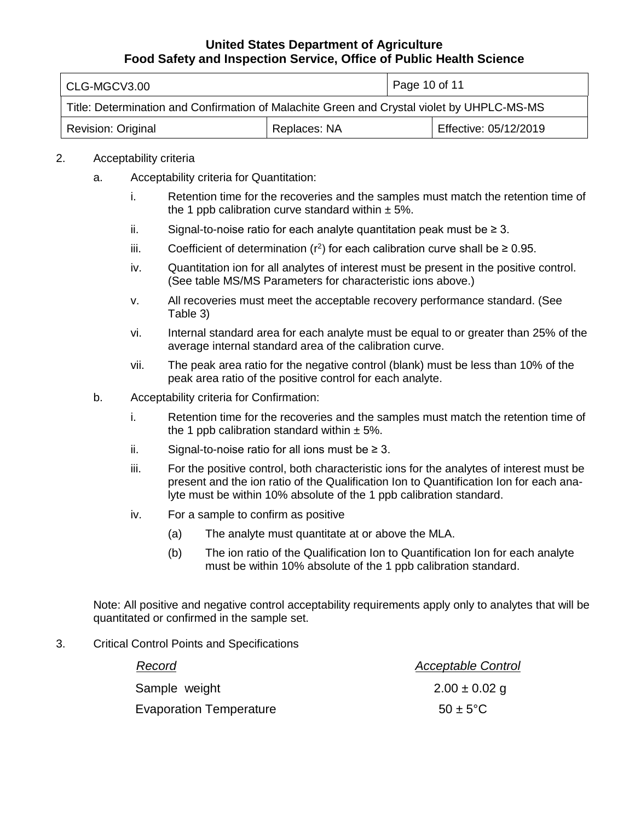| CLG-MGCV3.00                                                                               |              |  | Page 10 of 11         |  |
|--------------------------------------------------------------------------------------------|--------------|--|-----------------------|--|
| Title: Determination and Confirmation of Malachite Green and Crystal violet by UHPLC-MS-MS |              |  |                       |  |
| <b>Revision: Original</b>                                                                  | Replaces: NA |  | Effective: 05/12/2019 |  |

#### 2. Acceptability criteria

- a. Acceptability criteria for Quantitation:
	- i. Retention time for the recoveries and the samples must match the retention time of the 1 ppb calibration curve standard within  $\pm$  5%.
	- ii. Signal-to-noise ratio for each analyte quantitation peak must be ≥ 3.
	- iii. Coefficient of determination ( $r^2$ ) for each calibration curve shall be  $\geq 0.95$ .
	- iv. Quantitation ion for all analytes of interest must be present in the positive control. (See table MS/MS Parameters for characteristic ions above.)
	- v. All recoveries must meet the acceptable recovery performance standard. (See Table 3)
	- vi. Internal standard area for each analyte must be equal to or greater than 25% of the average internal standard area of the calibration curve.
	- vii. The peak area ratio for the negative control (blank) must be less than 10% of the peak area ratio of the positive control for each analyte.
- b. Acceptability criteria for Confirmation:
	- i. Retention time for the recoveries and the samples must match the retention time of the 1 ppb calibration standard within  $\pm$  5%.
	- ii. Signal-to-noise ratio for all ions must be ≥ 3.
	- iii. For the positive control, both characteristic ions for the analytes of interest must be present and the ion ratio of the Qualification Ion to Quantification Ion for each ana-lyte must be within 10% absolute of the 1 ppb calibration standard.
	- iv. For a sample to confirm as positive
		- (a) The analyte must quantitate at or above the MLA.
		- (b) The ion ratio of the Qualification Ion to Quantification Ion for each analyte must be within 10% absolute of the 1 ppb calibration standard.

 Note: All positive and negative control acceptability requirements apply only to analytes that will be quantitated or confirmed in the sample set.

3. Critical Control Points and Specifications

| Record                         | <b>Acceptable Control</b> |
|--------------------------------|---------------------------|
| Sample weight                  | $2.00 \pm 0.02$ g         |
| <b>Evaporation Temperature</b> | $50 \pm 5^{\circ}$ C      |